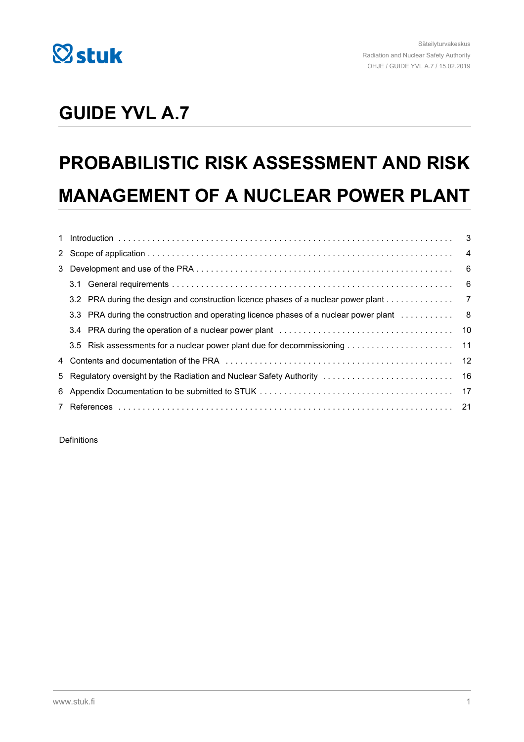

# **GUIDE YVL A.7**

# **PROBABILISTIC RISK ASSESSMENT AND RISK MANAGEMENT OF A NUCLEAR POWER PLANT**

|  | 3.2 PRA during the design and construction licence phases of a nuclear power plant 7 |  |
|--|--------------------------------------------------------------------------------------|--|
|  |                                                                                      |  |
|  |                                                                                      |  |
|  |                                                                                      |  |
|  |                                                                                      |  |
|  |                                                                                      |  |
|  |                                                                                      |  |
|  |                                                                                      |  |

**Definitions**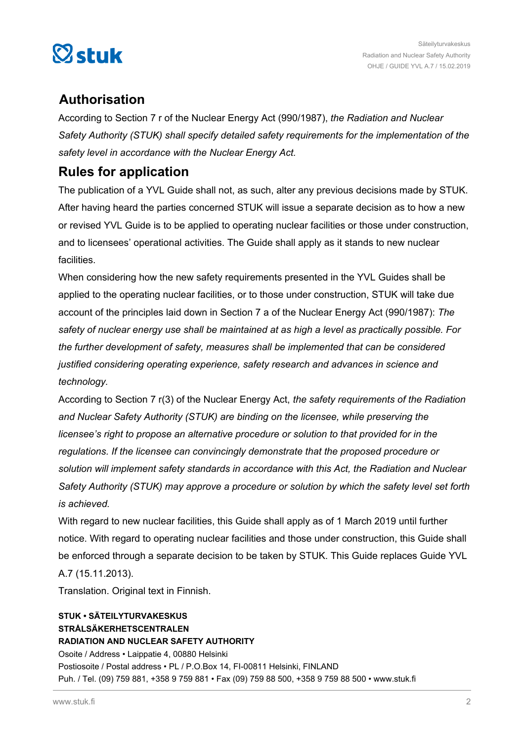

### **Authorisation**

According to Section 7 r of the Nuclear Energy Act (990/1987), *the Radiation and Nuclear Safety Authority (STUK) shall specify detailed safety requirements for the implementation of the safety level in accordance with the Nuclear Energy Act.*

### **Rules for application**

The publication of a YVL Guide shall not, as such, alter any previous decisions made by STUK. After having heard the parties concerned STUK will issue a separate decision as to how a new or revised YVL Guide is to be applied to operating nuclear facilities or those under construction, and to licensees' operational activities. The Guide shall apply as it stands to new nuclear facilities.

When considering how the new safety requirements presented in the YVL Guides shall be applied to the operating nuclear facilities, or to those under construction, STUK will take due account of the principles laid down in Section 7 a of the Nuclear Energy Act (990/1987): *The safety of nuclear energy use shall be maintained at as high a level as practically possible. For the further development of safety, measures shall be implemented that can be considered justified considering operating experience, safety research and advances in science and technology.*

According to Section 7 r(3) of the Nuclear Energy Act, *the safety requirements of the Radiation and Nuclear Safety Authority (STUK) are binding on the licensee, while preserving the licensee's right to propose an alternative procedure or solution to that provided for in the regulations. If the licensee can convincingly demonstrate that the proposed procedure or solution will implement safety standards in accordance with this Act, the Radiation and Nuclear Safety Authority (STUK) may approve a procedure or solution by which the safety level set forth is achieved.*

With regard to new nuclear facilities, this Guide shall apply as of 1 March 2019 until further notice. With regard to operating nuclear facilities and those under construction, this Guide shall be enforced through a separate decision to be taken by STUK. This Guide replaces Guide YVL A.7 (15.11.2013).

Translation. Original text in Finnish.

### **STUK • SÄTEILYTURVAKESKUS STRÅLSÄKERHETSCENTRALEN RADIATION AND NUCLEAR SAFETY AUTHORITY** Osoite / Address • Laippatie 4, 00880 Helsinki Postiosoite / Postal address • PL / P.O.Box 14, FI-00811 Helsinki, FINLAND Puh. / Tel. (09) 759 881, +358 9 759 881 • Fax (09) 759 88 500, +358 9 759 88 500 • www.stuk.fi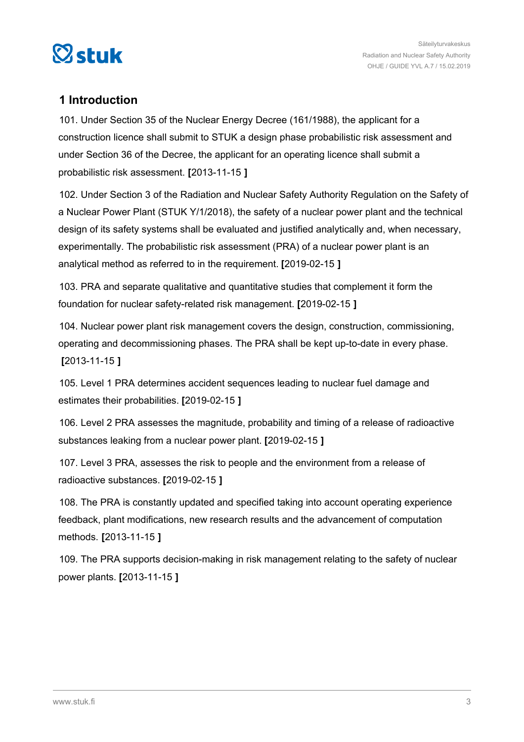<span id="page-2-0"></span>

### **1 Introduction**

101. Under Section 35 of the Nuclear Energy Decree (161/1988), the applicant for a construction licence shall submit to STUK a design phase probabilistic risk assessment and under Section 36 of the Decree, the applicant for an operating licence shall submit a probabilistic risk assessment. **[**2013-11-15 **]**

102. Under Section 3 of the Radiation and Nuclear Safety Authority Regulation on the Safety of a Nuclear Power Plant (STUK Y/1/2018), the safety of a nuclear power plant and the technical design of its safety systems shall be evaluated and justified analytically and, when necessary, experimentally. The probabilistic risk assessment (PRA) of a nuclear power plant is an analytical method as referred to in the requirement. **[**2019-02-15 **]**

103. PRA and separate qualitative and quantitative studies that complement it form the foundation for nuclear safety-related risk management. **[**2019-02-15 **]**

104. Nuclear power plant risk management covers the design, construction, commissioning, operating and decommissioning phases. The PRA shall be kept up-to-date in every phase. **[**2013-11-15 **]**

105. Level 1 PRA determines accident sequences leading to nuclear fuel damage and estimates their probabilities. **[**2019-02-15 **]**

106. Level 2 PRA assesses the magnitude, probability and timing of a release of radioactive substances leaking from a nuclear power plant. **[**2019-02-15 **]**

107. Level 3 PRA, assesses the risk to people and the environment from a release of radioactive substances. **[**2019-02-15 **]**

108. The PRA is constantly updated and specified taking into account operating experience feedback, plant modifications, new research results and the advancement of computation methods. **[**2013-11-15 **]**

109. The PRA supports decision-making in risk management relating to the safety of nuclear power plants. **[**2013-11-15 **]**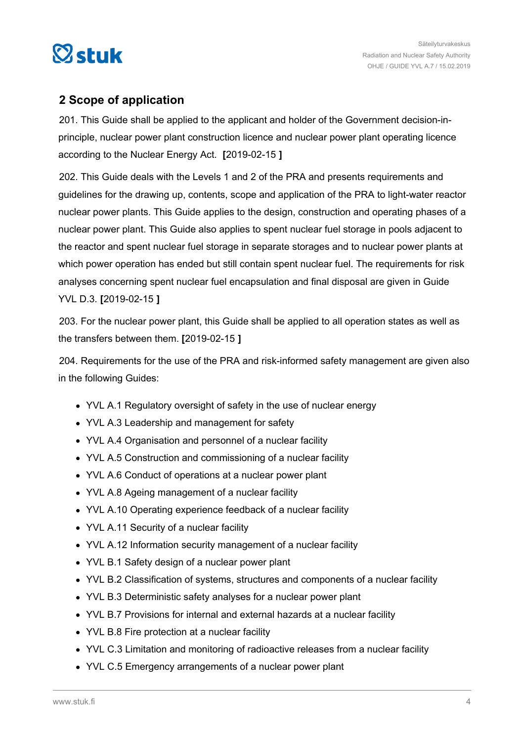<span id="page-3-0"></span>

### **2 Scope of application**

201. This Guide shall be applied to the applicant and holder of the Government decision-inprinciple, nuclear power plant construction licence and nuclear power plant operating licence according to the Nuclear Energy Act. **[**2019-02-15 **]**

202. This Guide deals with the Levels 1 and 2 of the PRA and presents requirements and guidelines for the drawing up, contents, scope and application of the PRA to light-water reactor nuclear power plants. This Guide applies to the design, construction and operating phases of a nuclear power plant. This Guide also applies to spent nuclear fuel storage in pools adjacent to the reactor and spent nuclear fuel storage in separate storages and to nuclear power plants at which power operation has ended but still contain spent nuclear fuel. The requirements for risk analyses concerning spent nuclear fuel encapsulation and final disposal are given in Guide YVL D.3. **[**2019-02-15 **]**

203. For the nuclear power plant, this Guide shall be applied to all operation states as well as the transfers between them. **[**2019-02-15 **]**

204. Requirements for the use of the PRA and risk-informed safety management are given also in the following Guides:

- YVL A.1 Regulatory oversight of safety in the use of nuclear energy
- YVL A.3 Leadership and management for safety
- YVL A.4 Organisation and personnel of a nuclear facility
- YVL A.5 Construction and commissioning of a nuclear facility
- YVL A.6 Conduct of operations at a nuclear power plant
- YVL A.8 Ageing management of a nuclear facility
- YVL A.10 Operating experience feedback of a nuclear facility
- YVL A.11 Security of a nuclear facility
- YVL A.12 Information security management of a nuclear facility
- YVL B.1 Safety design of a nuclear power plant
- YVL B.2 Classification of systems, structures and components of a nuclear facility
- YVL B.3 Deterministic safety analyses for a nuclear power plant
- YVL B.7 Provisions for internal and external hazards at a nuclear facility
- YVL B.8 Fire protection at a nuclear facility
- YVL C.3 Limitation and monitoring of radioactive releases from a nuclear facility
- YVL C.5 Emergency arrangements of a nuclear power plant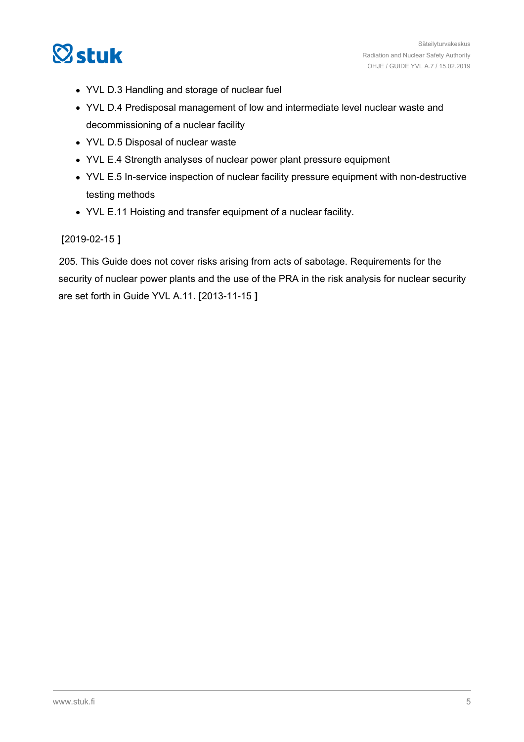

- YVL D.3 Handling and storage of nuclear fuel
- YVL D.4 Predisposal management of low and intermediate level nuclear waste and decommissioning of a nuclear facility
- YVL D.5 Disposal of nuclear waste
- YVL E.4 Strength analyses of nuclear power plant pressure equipment
- YVL E.5 In-service inspection of nuclear facility pressure equipment with non-destructive testing methods
- YVL E.11 Hoisting and transfer equipment of a nuclear facility.

#### **[**2019-02-15 **]**

205. This Guide does not cover risks arising from acts of sabotage. Requirements for the security of nuclear power plants and the use of the PRA in the risk analysis for nuclear security are set forth in Guide YVL A.11. **[**2013-11-15 **]**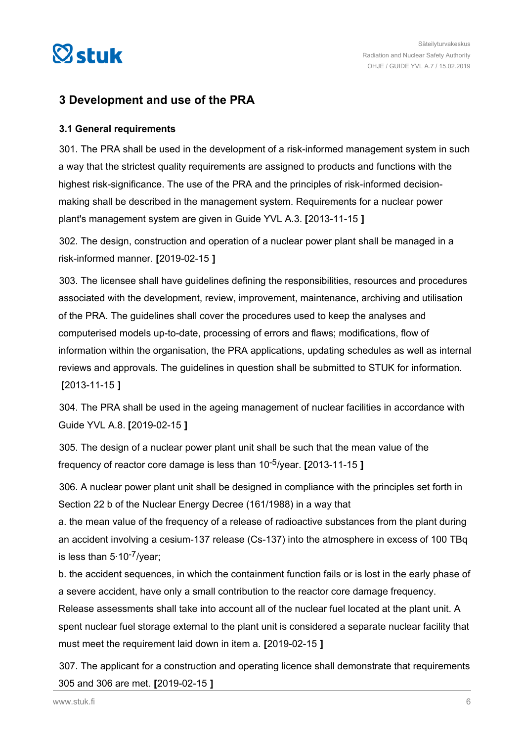<span id="page-5-0"></span>

### **3 Development and use of the PRA**

#### **3.1 General requirements**

301. The PRA shall be used in the development of a risk-informed management system in such a way that the strictest quality requirements are assigned to products and functions with the highest risk-significance. The use of the PRA and the principles of risk-informed decisionmaking shall be described in the management system. Requirements for a nuclear power plant's management system are given in Guide YVL A.3. **[**2013-11-15 **]**

302. The design, construction and operation of a nuclear power plant shall be managed in a risk-informed manner. **[**2019-02-15 **]**

303. The licensee shall have guidelines defining the responsibilities, resources and procedures associated with the development, review, improvement, maintenance, archiving and utilisation of the PRA. The guidelines shall cover the procedures used to keep the analyses and computerised models up-to-date, processing of errors and flaws; modifications, flow of information within the organisation, the PRA applications, updating schedules as well as internal reviews and approvals. The guidelines in question shall be submitted to STUK for information. **[**2013-11-15 **]**

304. The PRA shall be used in the ageing management of nuclear facilities in accordance with Guide YVL A.8. **[**2019-02-15 **]**

305. The design of a nuclear power plant unit shall be such that the mean value of the frequency of reactor core damage is less than 10-5/year. **[**2013-11-15 **]**

306. A nuclear power plant unit shall be designed in compliance with the principles set forth in Section 22 b of the Nuclear Energy Decree (161/1988) in a way that

a. the mean value of the frequency of a release of radioactive substances from the plant during an accident involving a cesium-137 release (Cs-137) into the atmosphere in excess of 100 TBq is less than 5∙10-7/year;

b. the accident sequences, in which the containment function fails or is lost in the early phase of a severe accident, have only a small contribution to the reactor core damage frequency.

Release assessments shall take into account all of the nuclear fuel located at the plant unit. A spent nuclear fuel storage external to the plant unit is considered a separate nuclear facility that must meet the requirement laid down in item a. **[**2019-02-15 **]**

307. The applicant for a construction and operating licence shall demonstrate that requirements 305 and 306 are met. **[**2019-02-15 **]**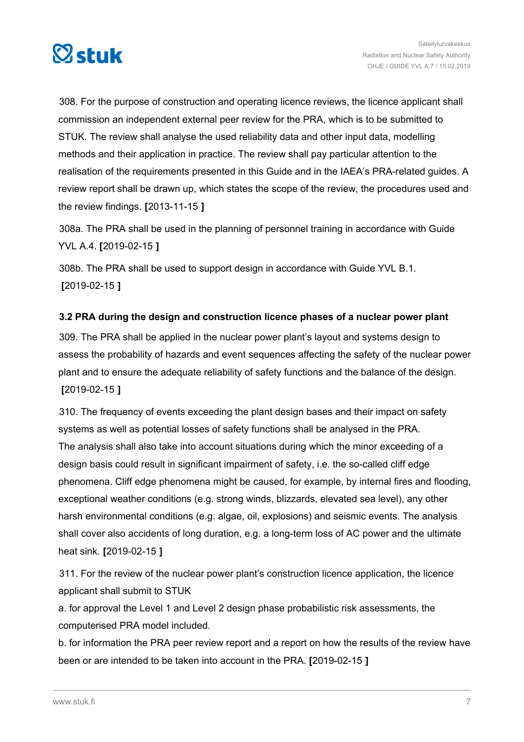<span id="page-6-0"></span>

308. For the purpose of construction and operating licence reviews, the licence applicant shall commission an independent external peer review for the PRA, which is to be submitted to STUK. The review shall analyse the used reliability data and other input data, modelling methods and their application in practice. The review shall pay particular attention to the realisation of the requirements presented in this Guide and in the IAEA's PRA-related guides. A review report shall be drawn up, which states the scope of the review, the procedures used and the review findings. **[**2013-11-15 **]**

308a. The PRA shall be used in the planning of personnel training in accordance with Guide YVL A.4. **[**2019-02-15 **]**

308b. The PRA shall be used to support design in accordance with Guide YVL B.1. **[**2019-02-15 **]**

### **3.2 PRA during the design and construction licence phases of a nuclear power plant**

309. The PRA shall be applied in the nuclear power plant's layout and systems design to assess the probability of hazards and event sequences affecting the safety of the nuclear power plant and to ensure the adequate reliability of safety functions and the balance of the design. **[**2019-02-15 **]**

310. The frequency of events exceeding the plant design bases and their impact on safety systems as well as potential losses of safety functions shall be analysed in the PRA. The analysis shall also take into account situations during which the minor exceeding of a design basis could result in significant impairment of safety, i.e. the so-called cliff edge phenomena. Cliff edge phenomena might be caused, for example, by internal fires and flooding, exceptional weather conditions (e.g. strong winds, blizzards, elevated sea level), any other harsh environmental conditions (e.g. algae, oil, explosions) and seismic events. The analysis shall cover also accidents of long duration, e.g. a long-term loss of AC power and the ultimate heat sink. **[**2019-02-15 **]**

311. For the review of the nuclear power plant's construction licence application, the licence applicant shall submit to STUK

a. for approval the Level 1 and Level 2 design phase probabilistic risk assessments, the computerised PRA model included.

b. for information the PRA peer review report and a report on how the results of the review have been or are intended to be taken into account in the PRA. **[**2019-02-15 **]**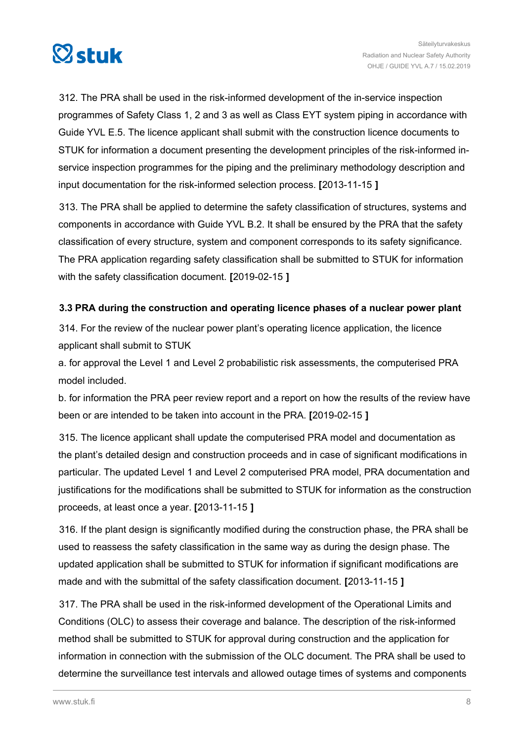<span id="page-7-0"></span>

312. The PRA shall be used in the risk-informed development of the in-service inspection programmes of Safety Class 1, 2 and 3 as well as Class EYT system piping in accordance with Guide YVL E.5. The licence applicant shall submit with the construction licence documents to STUK for information a document presenting the development principles of the risk-informed inservice inspection programmes for the piping and the preliminary methodology description and input documentation for the risk-informed selection process. **[**2013-11-15 **]**

313. The PRA shall be applied to determine the safety classification of structures, systems and components in accordance with Guide YVL B.2. It shall be ensured by the PRA that the safety classification of every structure, system and component corresponds to its safety significance. The PRA application regarding safety classification shall be submitted to STUK for information with the safety classification document. **[**2019-02-15 **]**

### **3.3 PRA during the construction and operating licence phases of a nuclear power plant**

314. For the review of the nuclear power plant's operating licence application, the licence applicant shall submit to STUK

a. for approval the Level 1 and Level 2 probabilistic risk assessments, the computerised PRA model included.

b. for information the PRA peer review report and a report on how the results of the review have been or are intended to be taken into account in the PRA. **[**2019-02-15 **]**

315. The licence applicant shall update the computerised PRA model and documentation as the plant's detailed design and construction proceeds and in case of significant modifications in particular. The updated Level 1 and Level 2 computerised PRA model, PRA documentation and justifications for the modifications shall be submitted to STUK for information as the construction proceeds, at least once a year. **[**2013-11-15 **]**

316. If the plant design is significantly modified during the construction phase, the PRA shall be used to reassess the safety classification in the same way as during the design phase. The updated application shall be submitted to STUK for information if significant modifications are made and with the submittal of the safety classification document. **[**2013-11-15 **]**

317. The PRA shall be used in the risk-informed development of the Operational Limits and Conditions (OLC) to assess their coverage and balance. The description of the risk-informed method shall be submitted to STUK for approval during construction and the application for information in connection with the submission of the OLC document. The PRA shall be used to determine the surveillance test intervals and allowed outage times of systems and components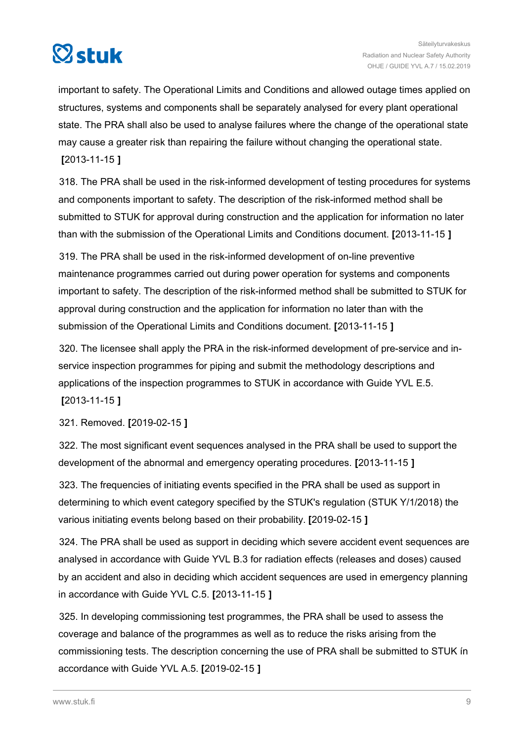

important to safety. The Operational Limits and Conditions and allowed outage times applied on structures, systems and components shall be separately analysed for every plant operational state. The PRA shall also be used to analyse failures where the change of the operational state may cause a greater risk than repairing the failure without changing the operational state. **[**2013-11-15 **]**

318. The PRA shall be used in the risk-informed development of testing procedures for systems and components important to safety. The description of the risk-informed method shall be submitted to STUK for approval during construction and the application for information no later than with the submission of the Operational Limits and Conditions document. **[**2013-11-15 **]**

319. The PRA shall be used in the risk-informed development of on-line preventive maintenance programmes carried out during power operation for systems and components important to safety. The description of the risk-informed method shall be submitted to STUK for approval during construction and the application for information no later than with the submission of the Operational Limits and Conditions document. **[**2013-11-15 **]**

320. The licensee shall apply the PRA in the risk-informed development of pre-service and inservice inspection programmes for piping and submit the methodology descriptions and applications of the inspection programmes to STUK in accordance with Guide YVL E.5.

**[**2013-11-15 **]**

321. Removed. **[**2019-02-15 **]**

322. The most significant event sequences analysed in the PRA shall be used to support the development of the abnormal and emergency operating procedures. **[**2013-11-15 **]**

323. The frequencies of initiating events specified in the PRA shall be used as support in determining to which event category specified by the STUK's regulation (STUK Y/1/2018) the various initiating events belong based on their probability. **[**2019-02-15 **]**

324. The PRA shall be used as support in deciding which severe accident event sequences are analysed in accordance with Guide YVL B.3 for radiation effects (releases and doses) caused by an accident and also in deciding which accident sequences are used in emergency planning in accordance with Guide YVL C.5. **[**2013-11-15 **]**

325. In developing commissioning test programmes, the PRA shall be used to assess the coverage and balance of the programmes as well as to reduce the risks arising from the commissioning tests. The description concerning the use of PRA shall be submitted to STUK ín accordance with Guide YVL A.5. **[**2019-02-15 **]**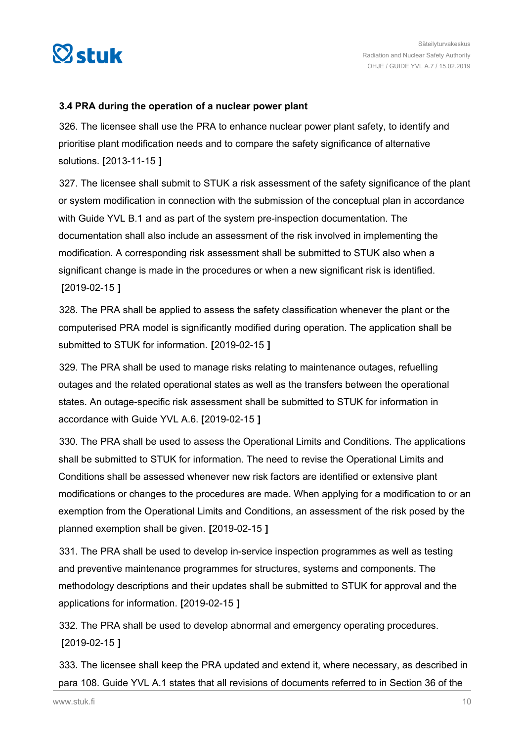<span id="page-9-0"></span>

#### **3.4 PRA during the operation of a nuclear power plant**

326. The licensee shall use the PRA to enhance nuclear power plant safety, to identify and prioritise plant modification needs and to compare the safety significance of alternative solutions. **[**2013-11-15 **]**

327. The licensee shall submit to STUK a risk assessment of the safety significance of the plant or system modification in connection with the submission of the conceptual plan in accordance with Guide YVL B.1 and as part of the system pre-inspection documentation. The documentation shall also include an assessment of the risk involved in implementing the modification. A corresponding risk assessment shall be submitted to STUK also when a significant change is made in the procedures or when a new significant risk is identified. **[**2019-02-15 **]**

328. The PRA shall be applied to assess the safety classification whenever the plant or the computerised PRA model is significantly modified during operation. The application shall be submitted to STUK for information. **[**2019-02-15 **]**

329. The PRA shall be used to manage risks relating to maintenance outages, refuelling outages and the related operational states as well as the transfers between the operational states. An outage-specific risk assessment shall be submitted to STUK for information in accordance with Guide YVL A.6. **[**2019-02-15 **]**

330. The PRA shall be used to assess the Operational Limits and Conditions. The applications shall be submitted to STUK for information. The need to revise the Operational Limits and Conditions shall be assessed whenever new risk factors are identified or extensive plant modifications or changes to the procedures are made. When applying for a modification to or an exemption from the Operational Limits and Conditions, an assessment of the risk posed by the planned exemption shall be given. **[**2019-02-15 **]**

331. The PRA shall be used to develop in-service inspection programmes as well as testing and preventive maintenance programmes for structures, systems and components. The methodology descriptions and their updates shall be submitted to STUK for approval and the applications for information. **[**2019-02-15 **]**

332. The PRA shall be used to develop abnormal and emergency operating procedures. **[**2019-02-15 **]**

333. The licensee shall keep the PRA updated and extend it, where necessary, as described in para 108. Guide YVL A.1 states that all revisions of documents referred to in Section 36 of the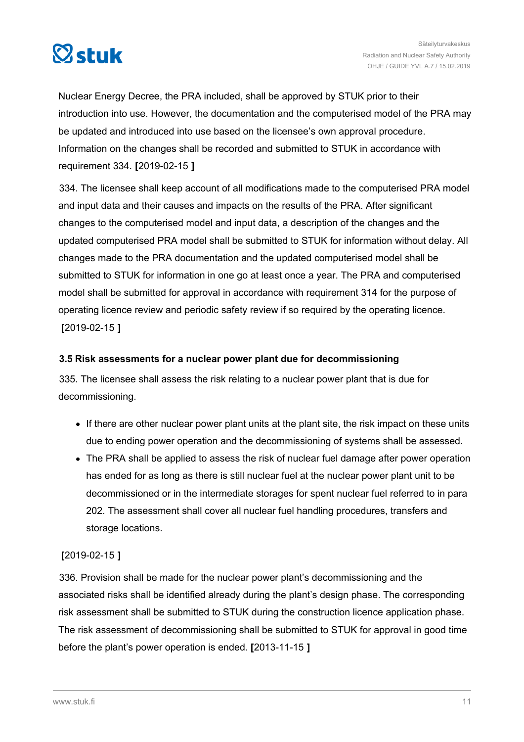<span id="page-10-0"></span>

Nuclear Energy Decree, the PRA included, shall be approved by STUK prior to their introduction into use. However, the documentation and the computerised model of the PRA may be updated and introduced into use based on the licensee's own approval procedure. Information on the changes shall be recorded and submitted to STUK in accordance with requirement 334. **[**2019-02-15 **]**

334. The licensee shall keep account of all modifications made to the computerised PRA model and input data and their causes and impacts on the results of the PRA. After significant changes to the computerised model and input data, a description of the changes and the updated computerised PRA model shall be submitted to STUK for information without delay. All changes made to the PRA documentation and the updated computerised model shall be submitted to STUK for information in one go at least once a year. The PRA and computerised model shall be submitted for approval in accordance with requirement 314 for the purpose of operating licence review and periodic safety review if so required by the operating licence. **[**2019-02-15 **]**

### **3.5 Risk assessments for a nuclear power plant due for decommissioning**

335. The licensee shall assess the risk relating to a nuclear power plant that is due for decommissioning.

- If there are other nuclear power plant units at the plant site, the risk impact on these units due to ending power operation and the decommissioning of systems shall be assessed.
- The PRA shall be applied to assess the risk of nuclear fuel damage after power operation has ended for as long as there is still nuclear fuel at the nuclear power plant unit to be decommissioned or in the intermediate storages for spent nuclear fuel referred to in para 202. The assessment shall cover all nuclear fuel handling procedures, transfers and storage locations.

### **[**2019-02-15 **]**

336. Provision shall be made for the nuclear power plant's decommissioning and the associated risks shall be identified already during the plant's design phase. The corresponding risk assessment shall be submitted to STUK during the construction licence application phase. The risk assessment of decommissioning shall be submitted to STUK for approval in good time before the plant's power operation is ended. **[**2013-11-15 **]**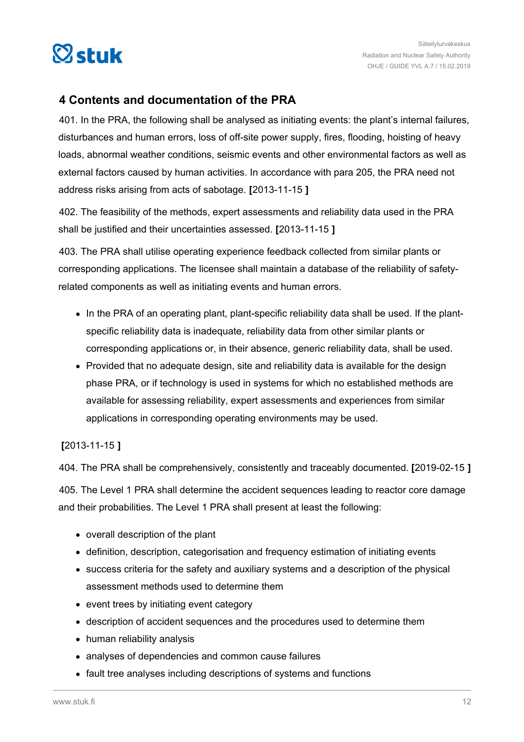<span id="page-11-0"></span>

### **4 Contents and documentation of the PRA**

401. In the PRA, the following shall be analysed as initiating events: the plant's internal failures, disturbances and human errors, loss of off-site power supply, fires, flooding, hoisting of heavy loads, abnormal weather conditions, seismic events and other environmental factors as well as external factors caused by human activities. In accordance with para 205, the PRA need not address risks arising from acts of sabotage. **[**2013-11-15 **]**

402. The feasibility of the methods, expert assessments and reliability data used in the PRA shall be justified and their uncertainties assessed. **[**2013-11-15 **]**

403. The PRA shall utilise operating experience feedback collected from similar plants or corresponding applications. The licensee shall maintain a database of the reliability of safetyrelated components as well as initiating events and human errors.

- In the PRA of an operating plant, plant-specific reliability data shall be used. If the plantspecific reliability data is inadequate, reliability data from other similar plants or corresponding applications or, in their absence, generic reliability data, shall be used.
- Provided that no adequate design, site and reliability data is available for the design phase PRA, or if technology is used in systems for which no established methods are available for assessing reliability, expert assessments and experiences from similar applications in corresponding operating environments may be used.

### **[**2013-11-15 **]**

404. The PRA shall be comprehensively, consistently and traceably documented. **[**2019-02-15 **]**

405. The Level 1 PRA shall determine the accident sequences leading to reactor core damage and their probabilities. The Level 1 PRA shall present at least the following:

- overall description of the plant
- definition, description, categorisation and frequency estimation of initiating events
- success criteria for the safety and auxiliary systems and a description of the physical assessment methods used to determine them
- event trees by initiating event category
- description of accident sequences and the procedures used to determine them
- human reliability analysis
- analyses of dependencies and common cause failures
- fault tree analyses including descriptions of systems and functions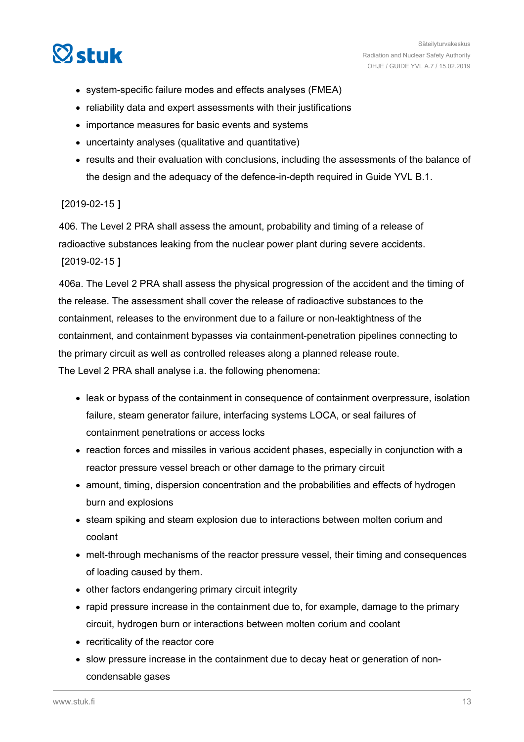

- system-specific failure modes and effects analyses (FMEA)
- reliability data and expert assessments with their justifications
- importance measures for basic events and systems
- uncertainty analyses (qualitative and quantitative)
- results and their evaluation with conclusions, including the assessments of the balance of the design and the adequacy of the defence-in-depth required in Guide YVL B.1.

#### **[**2019-02-15 **]**

406. The Level 2 PRA shall assess the amount, probability and timing of a release of radioactive substances leaking from the nuclear power plant during severe accidents. **[**2019-02-15 **]**

406a. The Level 2 PRA shall assess the physical progression of the accident and the timing of the release. The assessment shall cover the release of radioactive substances to the containment, releases to the environment due to a failure or non-leaktightness of the containment, and containment bypasses via containment-penetration pipelines connecting to the primary circuit as well as controlled releases along a planned release route. The Level 2 PRA shall analyse i.a. the following phenomena:

- leak or bypass of the containment in consequence of containment overpressure, isolation failure, steam generator failure, interfacing systems LOCA, or seal failures of containment penetrations or access locks
- reaction forces and missiles in various accident phases, especially in conjunction with a reactor pressure vessel breach or other damage to the primary circuit
- amount, timing, dispersion concentration and the probabilities and effects of hydrogen burn and explosions
- steam spiking and steam explosion due to interactions between molten corium and coolant
- melt-through mechanisms of the reactor pressure vessel, their timing and consequences of loading caused by them.
- other factors endangering primary circuit integrity
- rapid pressure increase in the containment due to, for example, damage to the primary circuit, hydrogen burn or interactions between molten corium and coolant
- recriticality of the reactor core
- slow pressure increase in the containment due to decay heat or generation of noncondensable gases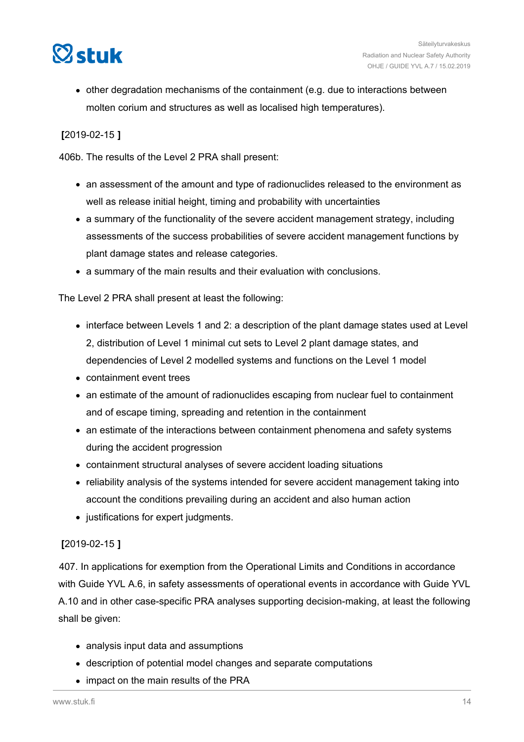

other degradation mechanisms of the containment (e.g. due to interactions between molten corium and structures as well as localised high temperatures).

### **[**2019-02-15 **]**

406b. The results of the Level 2 PRA shall present:

- an assessment of the amount and type of radionuclides released to the environment as well as release initial height, timing and probability with uncertainties
- a summary of the functionality of the severe accident management strategy, including assessments of the success probabilities of severe accident management functions by plant damage states and release categories.
- a summary of the main results and their evaluation with conclusions.

The Level 2 PRA shall present at least the following:

- interface between Levels 1 and 2: a description of the plant damage states used at Level 2, distribution of Level 1 minimal cut sets to Level 2 plant damage states, and dependencies of Level 2 modelled systems and functions on the Level 1 model
- containment event trees
- an estimate of the amount of radionuclides escaping from nuclear fuel to containment and of escape timing, spreading and retention in the containment
- an estimate of the interactions between containment phenomena and safety systems during the accident progression
- containment structural analyses of severe accident loading situations
- reliability analysis of the systems intended for severe accident management taking into account the conditions prevailing during an accident and also human action
- justifications for expert judgments.

### **[**2019-02-15 **]**

407. In applications for exemption from the Operational Limits and Conditions in accordance with Guide YVL A.6, in safety assessments of operational events in accordance with Guide YVL A.10 and in other case-specific PRA analyses supporting decision-making, at least the following shall be given:

- analysis input data and assumptions
- description of potential model changes and separate computations
- impact on the main results of the PRA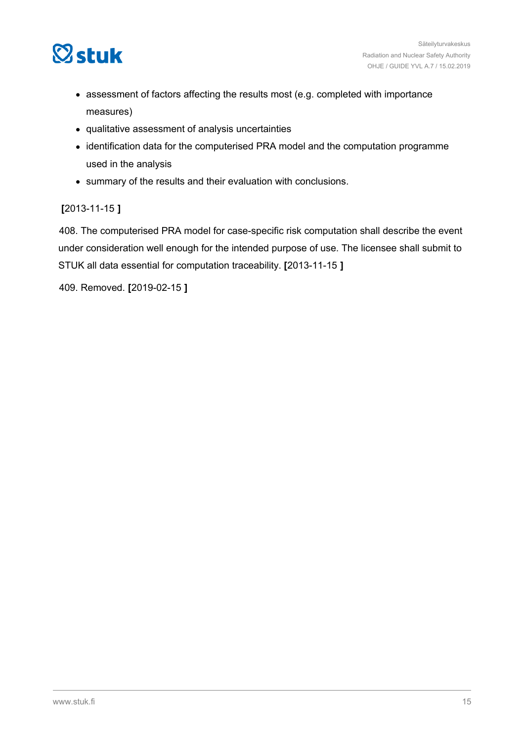

- assessment of factors affecting the results most (e.g. completed with importance measures)
- qualitative assessment of analysis uncertainties
- identification data for the computerised PRA model and the computation programme used in the analysis
- summary of the results and their evaluation with conclusions.

### **[**2013-11-15 **]**

408. The computerised PRA model for case-specific risk computation shall describe the event under consideration well enough for the intended purpose of use. The licensee shall submit to STUK all data essential for computation traceability. **[**2013-11-15 **]**

409. Removed. **[**2019-02-15 **]**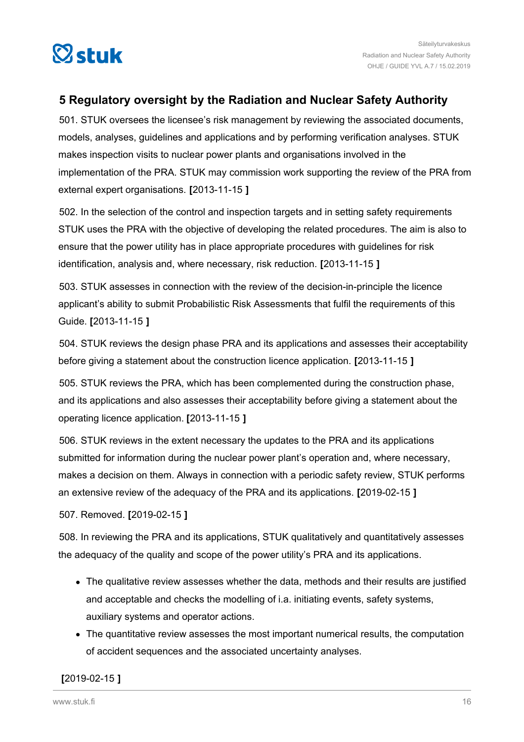<span id="page-15-0"></span>

### **5 Regulatory oversight by the Radiation and Nuclear Safety Authority**

501. STUK oversees the licensee's risk management by reviewing the associated documents, models, analyses, guidelines and applications and by performing verification analyses. STUK makes inspection visits to nuclear power plants and organisations involved in the implementation of the PRA. STUK may commission work supporting the review of the PRA from external expert organisations. **[**2013-11-15 **]**

502. In the selection of the control and inspection targets and in setting safety requirements STUK uses the PRA with the objective of developing the related procedures. The aim is also to ensure that the power utility has in place appropriate procedures with guidelines for risk identification, analysis and, where necessary, risk reduction. **[**2013-11-15 **]**

503. STUK assesses in connection with the review of the decision-in-principle the licence applicant's ability to submit Probabilistic Risk Assessments that fulfil the requirements of this Guide. **[**2013-11-15 **]**

504. STUK reviews the design phase PRA and its applications and assesses their acceptability before giving a statement about the construction licence application. **[**2013-11-15 **]**

505. STUK reviews the PRA, which has been complemented during the construction phase, and its applications and also assesses their acceptability before giving a statement about the operating licence application. **[**2013-11-15 **]**

506. STUK reviews in the extent necessary the updates to the PRA and its applications submitted for information during the nuclear power plant's operation and, where necessary, makes a decision on them. Always in connection with a periodic safety review, STUK performs an extensive review of the adequacy of the PRA and its applications. **[**2019-02-15 **]**

507. Removed. **[**2019-02-15 **]**

508. In reviewing the PRA and its applications, STUK qualitatively and quantitatively assesses the adequacy of the quality and scope of the power utility's PRA and its applications.

- The qualitative review assesses whether the data, methods and their results are justified and acceptable and checks the modelling of i.a. initiating events, safety systems, auxiliary systems and operator actions.
- The quantitative review assesses the most important numerical results, the computation of accident sequences and the associated uncertainty analyses.

### **[**2019-02-15 **]**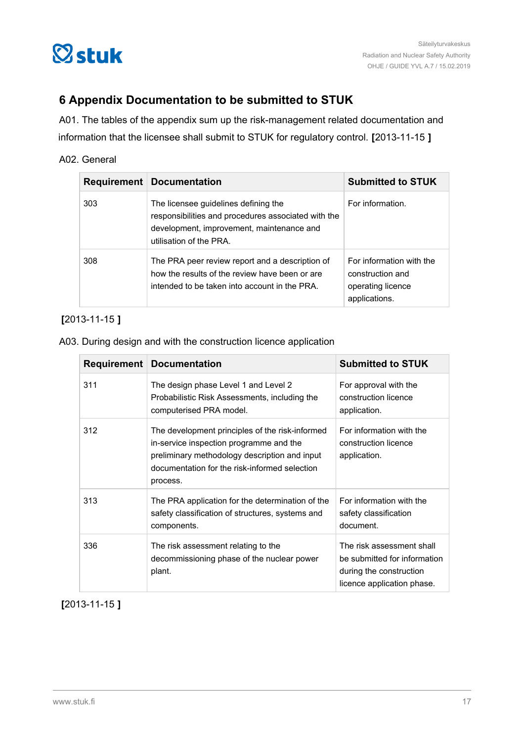<span id="page-16-0"></span>

### **6 Appendix Documentation to be submitted to STUK**

A01. The tables of the appendix sum up the risk-management related documentation and information that the licensee shall submit to STUK for regulatory control. **[**2013-11-15 **]**

### A02. General

|     | <b>Requirement   Documentation</b>                                                                                                                                  | <b>Submitted to STUK</b>                                                           |
|-----|---------------------------------------------------------------------------------------------------------------------------------------------------------------------|------------------------------------------------------------------------------------|
| 303 | The licensee guidelines defining the<br>responsibilities and procedures associated with the<br>development, improvement, maintenance and<br>utilisation of the PRA. | For information.                                                                   |
| 308 | The PRA peer review report and a description of<br>how the results of the review have been or are<br>intended to be taken into account in the PRA.                  | For information with the<br>construction and<br>operating licence<br>applications. |

### **[**2013-11-15 **]**

#### A03. During design and with the construction licence application

| <b>Requirement</b> | <b>Documentation</b>                                                                                                                                                                                     | <b>Submitted to STUK</b>                                                                                           |
|--------------------|----------------------------------------------------------------------------------------------------------------------------------------------------------------------------------------------------------|--------------------------------------------------------------------------------------------------------------------|
| 311                | The design phase Level 1 and Level 2<br>Probabilistic Risk Assessments, including the<br>computerised PRA model.                                                                                         | For approval with the<br>construction licence<br>application.                                                      |
| 312                | The development principles of the risk-informed<br>in-service inspection programme and the<br>preliminary methodology description and input<br>documentation for the risk-informed selection<br>process. | For information with the<br>construction licence<br>application.                                                   |
| 313                | The PRA application for the determination of the<br>safety classification of structures, systems and<br>components.                                                                                      | For information with the<br>safety classification<br>document.                                                     |
| 336                | The risk assessment relating to the<br>decommissioning phase of the nuclear power<br>plant.                                                                                                              | The risk assessment shall<br>be submitted for information<br>during the construction<br>licence application phase. |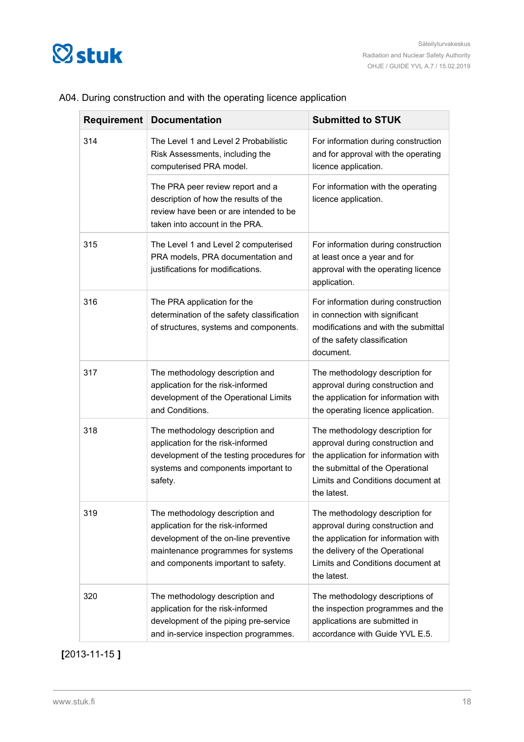

| Requirement | <b>Documentation</b>                                                                                                                                                                       | <b>Submitted to STUK</b>                                                                                                                                                                            |
|-------------|--------------------------------------------------------------------------------------------------------------------------------------------------------------------------------------------|-----------------------------------------------------------------------------------------------------------------------------------------------------------------------------------------------------|
| 314         | The Level 1 and Level 2 Probabilistic<br>Risk Assessments, including the<br>computerised PRA model.                                                                                        | For information during construction<br>and for approval with the operating<br>licence application.                                                                                                  |
|             | The PRA peer review report and a<br>description of how the results of the<br>review have been or are intended to be<br>taken into account in the PRA.                                      | For information with the operating<br>licence application.                                                                                                                                          |
| 315         | The Level 1 and Level 2 computerised<br>PRA models, PRA documentation and<br>justifications for modifications.                                                                             | For information during construction<br>at least once a year and for<br>approval with the operating licence<br>application.                                                                          |
| 316         | The PRA application for the<br>determination of the safety classification<br>of structures, systems and components.                                                                        | For information during construction<br>in connection with significant<br>modifications and with the submittal<br>of the safety classification<br>document.                                          |
| 317         | The methodology description and<br>application for the risk-informed<br>development of the Operational Limits<br>and Conditions.                                                           | The methodology description for<br>approval during construction and<br>the application for information with<br>the operating licence application.                                                   |
| 318         | The methodology description and<br>application for the risk-informed<br>development of the testing procedures for<br>systems and components important to<br>safety.                        | The methodology description for<br>approval during construction and<br>the application for information with<br>the submittal of the Operational<br>Limits and Conditions document at<br>the latest. |
| 319         | The methodology description and<br>application for the risk-informed<br>development of the on-line preventive<br>maintenance programmes for systems<br>and components important to safety. | The methodology description for<br>approval during construction and<br>the application for information with<br>the delivery of the Operational<br>Limits and Conditions document at<br>the latest.  |
| 320         | The methodology description and<br>application for the risk-informed<br>development of the piping pre-service<br>and in-service inspection programmes.                                     | The methodology descriptions of<br>the inspection programmes and the<br>applications are submitted in<br>accordance with Guide YVL E.5.                                                             |

### A04. During construction and with the operating licence application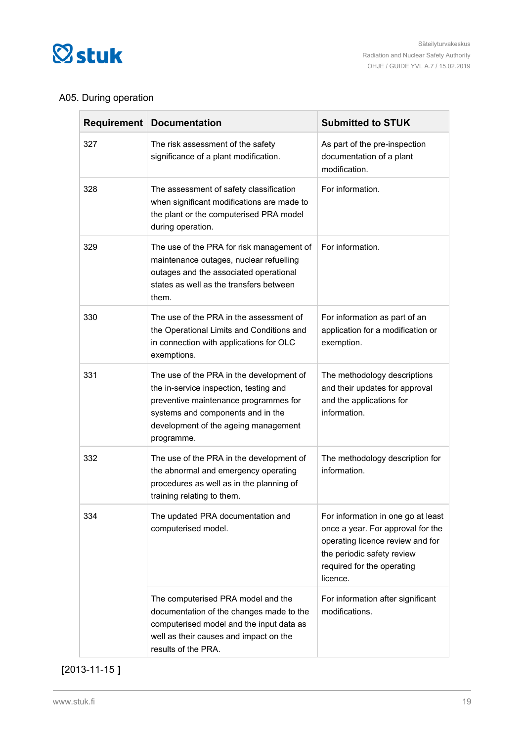

### A05. During operation

| <b>Requirement</b> | <b>Documentation</b>                                                                                                                                                                                                   | <b>Submitted to STUK</b>                                                                                                                                                            |
|--------------------|------------------------------------------------------------------------------------------------------------------------------------------------------------------------------------------------------------------------|-------------------------------------------------------------------------------------------------------------------------------------------------------------------------------------|
| 327                | The risk assessment of the safety<br>significance of a plant modification.                                                                                                                                             | As part of the pre-inspection<br>documentation of a plant<br>modification.                                                                                                          |
| 328                | The assessment of safety classification<br>when significant modifications are made to<br>the plant or the computerised PRA model<br>during operation.                                                                  | For information.                                                                                                                                                                    |
| 329                | The use of the PRA for risk management of<br>maintenance outages, nuclear refuelling<br>outages and the associated operational<br>states as well as the transfers between<br>them.                                     | For information.                                                                                                                                                                    |
| 330                | The use of the PRA in the assessment of<br>the Operational Limits and Conditions and<br>in connection with applications for OLC<br>exemptions.                                                                         | For information as part of an<br>application for a modification or<br>exemption.                                                                                                    |
| 331                | The use of the PRA in the development of<br>the in-service inspection, testing and<br>preventive maintenance programmes for<br>systems and components and in the<br>development of the ageing management<br>programme. | The methodology descriptions<br>and their updates for approval<br>and the applications for<br>information.                                                                          |
| 332                | The use of the PRA in the development of<br>the abnormal and emergency operating<br>procedures as well as in the planning of<br>training relating to them.                                                             | The methodology description for<br>information.                                                                                                                                     |
| 334                | The updated PRA documentation and<br>computerised model.                                                                                                                                                               | For information in one go at least<br>once a year. For approval for the<br>operating licence review and for<br>the periodic safety review<br>required for the operating<br>licence. |
|                    | The computerised PRA model and the<br>documentation of the changes made to the<br>computerised model and the input data as<br>well as their causes and impact on the<br>results of the PRA.                            | For information after significant<br>modifications.                                                                                                                                 |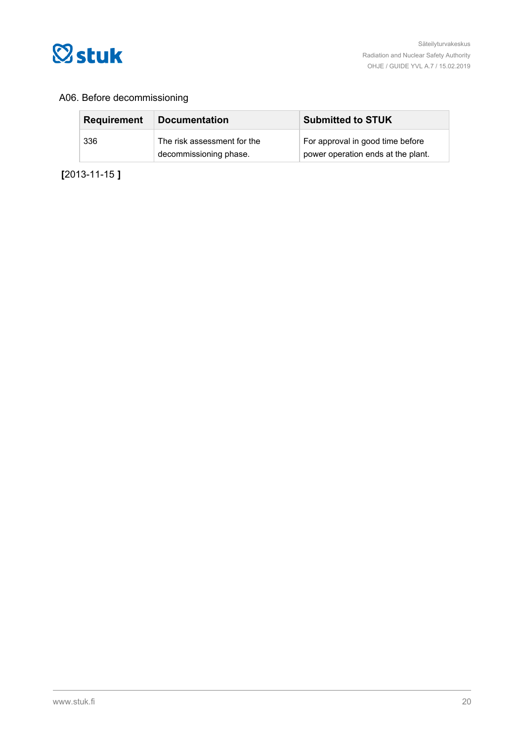

### A06. Before decommissioning

| <b>Requirement</b> | <b>Documentation</b>                                  | <b>Submitted to STUK</b>                                               |
|--------------------|-------------------------------------------------------|------------------------------------------------------------------------|
| 336                | The risk assessment for the<br>decommissioning phase. | For approval in good time before<br>power operation ends at the plant. |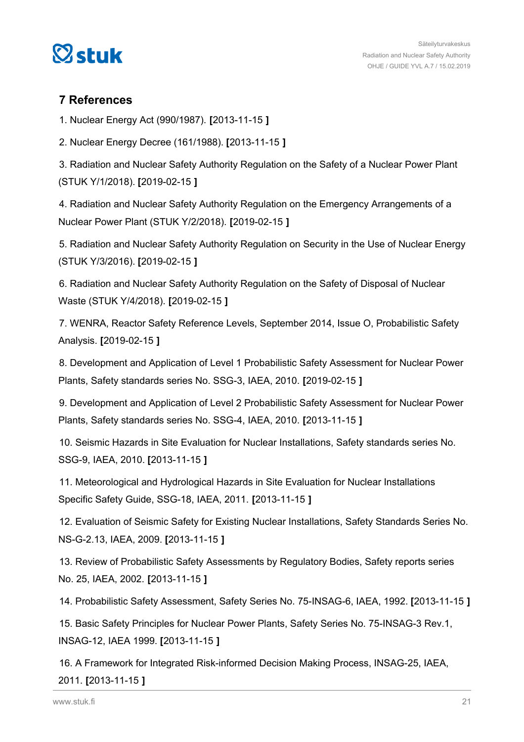<span id="page-20-0"></span>

### **7 References**

1. Nuclear Energy Act (990/1987). **[**2013-11-15 **]**

2. Nuclear Energy Decree (161/1988). **[**2013-11-15 **]**

3. Radiation and Nuclear Safety Authority Regulation on the Safety of a Nuclear Power Plant (STUK Y/1/2018). **[**2019-02-15 **]**

4. Radiation and Nuclear Safety Authority Regulation on the Emergency Arrangements of a Nuclear Power Plant (STUK Y/2/2018). **[**2019-02-15 **]**

5. Radiation and Nuclear Safety Authority Regulation on Security in the Use of Nuclear Energy (STUK Y/3/2016). **[**2019-02-15 **]**

6. Radiation and Nuclear Safety Authority Regulation on the Safety of Disposal of Nuclear Waste (STUK Y/4/2018). **[**2019-02-15 **]**

7. WENRA, Reactor Safety Reference Levels, September 2014, Issue O, Probabilistic Safety Analysis. **[**2019-02-15 **]**

8. Development and Application of Level 1 Probabilistic Safety Assessment for Nuclear Power Plants, Safety standards series No. SSG-3, IAEA, 2010. **[**2019-02-15 **]**

9. Development and Application of Level 2 Probabilistic Safety Assessment for Nuclear Power Plants, Safety standards series No. SSG-4, IAEA, 2010. **[**2013-11-15 **]**

10. Seismic Hazards in Site Evaluation for Nuclear Installations, Safety standards series No. SSG-9, IAEA, 2010. **[**2013-11-15 **]**

11. Meteorological and Hydrological Hazards in Site Evaluation for Nuclear Installations Specific Safety Guide, SSG-18, IAEA, 2011. **[**2013-11-15 **]**

12. Evaluation of Seismic Safety for Existing Nuclear Installations, Safety Standards Series No. NS-G-2.13, IAEA, 2009. **[**2013-11-15 **]**

13. Review of Probabilistic Safety Assessments by Regulatory Bodies, Safety reports series No. 25, IAEA, 2002. **[**2013-11-15 **]**

14. Probabilistic Safety Assessment, Safety Series No. 75-INSAG-6, IAEA, 1992. **[**2013-11-15 **]**

15. Basic Safety Principles for Nuclear Power Plants, Safety Series No. 75-INSAG-3 Rev.1, INSAG-12, IAEA 1999. **[**2013-11-15 **]**

16. A Framework for Integrated Risk-informed Decision Making Process, INSAG-25, IAEA, 2011. **[**2013-11-15 **]**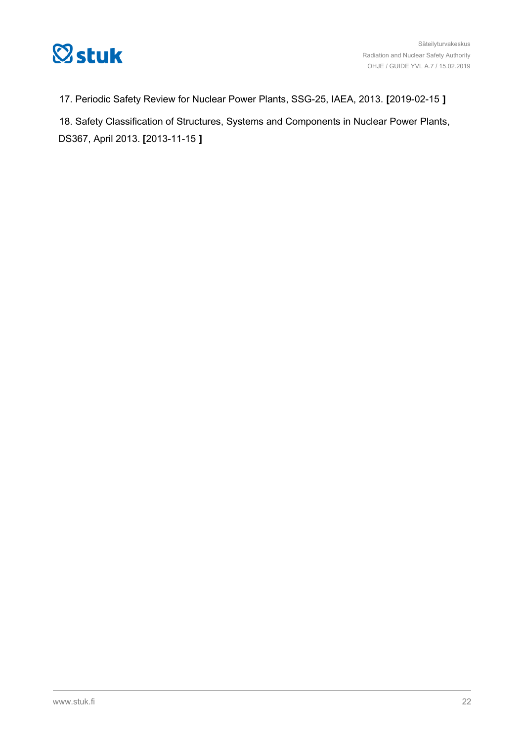

17. Periodic Safety Review for Nuclear Power Plants, SSG-25, IAEA, 2013. **[**2019-02-15 **]**

18. Safety Classification of Structures, Systems and Components in Nuclear Power Plants, DS367, April 2013. **[**2013-11-15 **]**